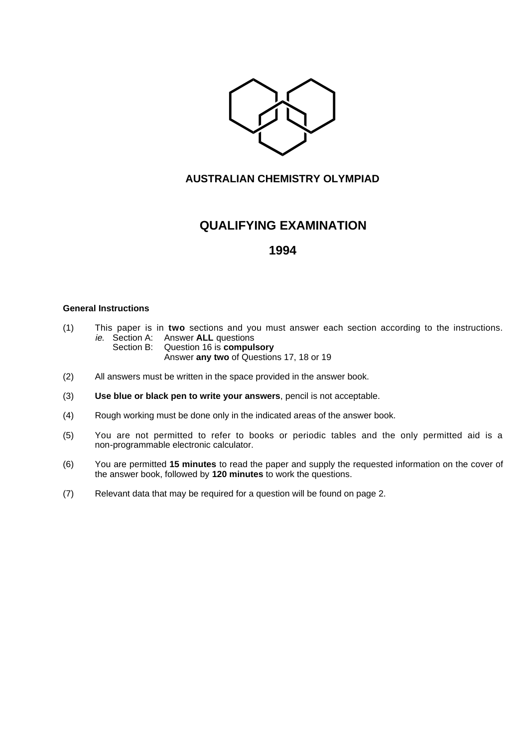

### **AUSTRALIAN CHEMISTRY OLYMPIAD**

# **QUALIFYING EXAMINATION**

## **1994**

### **General Instructions**

- (1) This paper is in **two** sections and you must answer each section according to the instructions. ie. Section A: Answer **ALL** questions
	- Section B: Question 16 is **compulsory** Answer **any two** of Questions 17, 18 or 19
- (2) All answers must be written in the space provided in the answer book.
- (3) **Use blue or black pen to write your answers**, pencil is not acceptable.
- (4) Rough working must be done only in the indicated areas of the answer book.
- (5) You are not permitted to refer to books or periodic tables and the only permitted aid is a non-programmable electronic calculator.
- (6) You are permitted **15 minutes** to read the paper and supply the requested information on the cover of the answer book, followed by **120 minutes** to work the questions.
- (7) Relevant data that may be required for a question will be found on page 2.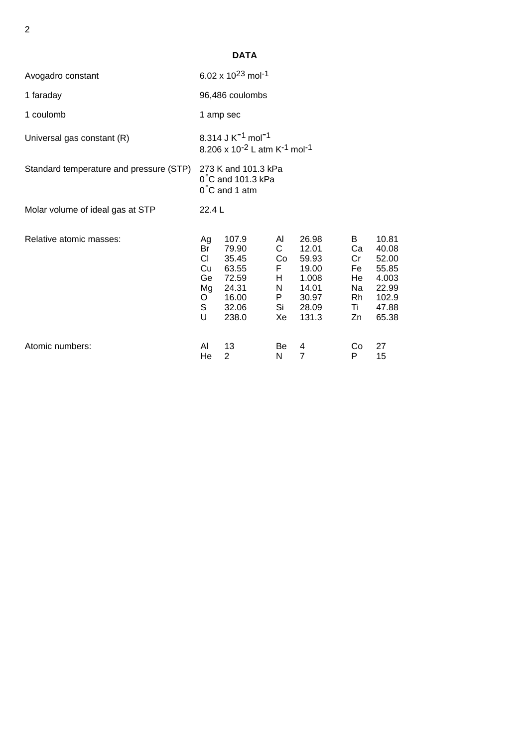| ΑT<br>- |  |
|---------|--|
|---------|--|

| Avogadro constant                       | 6.02 x $10^{23}$ mol <sup>-1</sup>                                                                            |                                                                               |                                                           |                                                                               |                                                   |                                                                               |
|-----------------------------------------|---------------------------------------------------------------------------------------------------------------|-------------------------------------------------------------------------------|-----------------------------------------------------------|-------------------------------------------------------------------------------|---------------------------------------------------|-------------------------------------------------------------------------------|
| 1 faraday                               | 96,486 coulombs                                                                                               |                                                                               |                                                           |                                                                               |                                                   |                                                                               |
| 1 coulomb                               | 1 amp sec                                                                                                     |                                                                               |                                                           |                                                                               |                                                   |                                                                               |
| Universal gas constant (R)              | 8.314 J K <sup>-1</sup> mol <sup>-1</sup><br>8.206 x 10 <sup>-2</sup> L atm K <sup>-1</sup> mol <sup>-1</sup> |                                                                               |                                                           |                                                                               |                                                   |                                                                               |
| Standard temperature and pressure (STP) | 273 K and 101.3 kPa<br>0°C and 101.3 kPa<br>$0^{\circ}$ C and 1 atm                                           |                                                                               |                                                           |                                                                               |                                                   |                                                                               |
| Molar volume of ideal gas at STP        | 22.4 L                                                                                                        |                                                                               |                                                           |                                                                               |                                                   |                                                                               |
| Relative atomic masses:                 | Ag<br>Br<br>CI.<br>Cu<br>Ge<br>Mg<br>O<br>S<br>U                                                              | 107.9<br>79.90<br>35.45<br>63.55<br>72.59<br>24.31<br>16.00<br>32.06<br>238.0 | Al<br>$\mathsf{C}$<br>Co<br>F.<br>H<br>N<br>P<br>Si<br>Xe | 26.98<br>12.01<br>59.93<br>19.00<br>1.008<br>14.01<br>30.97<br>28.09<br>131.3 | B<br>Ca<br>Cr<br>Fe<br>He<br>Na<br>Rh<br>Τi<br>Zn | 10.81<br>40.08<br>52.00<br>55.85<br>4.003<br>22.99<br>102.9<br>47.88<br>65.38 |
| Atomic numbers:                         | AI<br>He                                                                                                      | 13<br>$\overline{2}$                                                          | Be<br>N                                                   | 4<br>$\overline{7}$                                                           | Co<br>P                                           | 27<br>15                                                                      |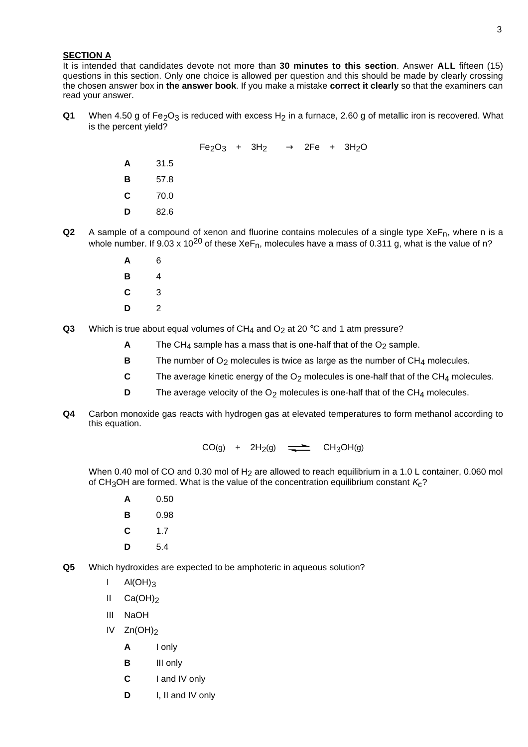### 3

### **SECTION A**

It is intended that candidates devote not more than **30 minutes to this section**. Answer **ALL** fifteen (15) questions in this section. Only one choice is allowed per question and this should be made by clearly crossing the chosen answer box in **the answer book**. If you make a mistake **correct it clearly** so that the examiners can read your answer.

**Q1** When 4.50 g of Fe<sub>2</sub>O<sub>3</sub> is reduced with excess H<sub>2</sub> in a furnace, 2.60 g of metallic iron is recovered. What is the percent yield?

> $Fe<sub>2</sub>O<sub>3</sub> + 3H<sub>2</sub> \longrightarrow 2Fe + 3H<sub>2</sub>O$ **A** 31.5 **B** 57.8 **C** 70.0 **D** 82.6

- **Q2** A sample of a compound of xenon and fluorine contains molecules of a single type  $X \in F_n$ , where n is a whole number. If 9.03 x 10<sup>20</sup> of these XeF<sub>n</sub>, molecules have a mass of 0.311 g, what is the value of n?
	- **A** 6 **B** 4 **C** 3 **D** 2
- **Q3** Which is true about equal volumes of  $CH<sub>4</sub>$  and  $O<sub>2</sub>$  at 20 °C and 1 atm pressure?
	- **A** The CH<sub>4</sub> sample has a mass that is one-half that of the  $O<sub>2</sub>$  sample.
	- **B** The number of O<sub>2</sub> molecules is twice as large as the number of CH<sub>4</sub> molecules.
	- **C** The average kinetic energy of the O<sub>2</sub> molecules is one-half that of the CH<sub>4</sub> molecules.
	- **D** The average velocity of the O<sub>2</sub> molecules is one-half that of the CH<sub>4</sub> molecules.
- **Q4** Carbon monoxide gas reacts with hydrogen gas at elevated temperatures to form methanol according to this equation.

 $CO(g)$  +  $2H_2(g)$   $\rightleftharpoons$   $CH_3OH(g)$ 

When 0.40 mol of CO and 0.30 mol of H<sub>2</sub> are allowed to reach equilibrium in a 1.0 L container, 0.060 mol of CH<sub>3</sub>OH are formed. What is the value of the concentration equilibrium constant  $K<sub>c</sub>$ ?

- **A** 0.50
- **B** 0.98
- **C** 1.7
- **D** 5.4
- **Q5** Which hydroxides are expected to be amphoteric in aqueous solution?
	- $I$  Al(OH)<sub>3</sub>
	- II Ca(OH)<sub>2</sub>
	- III NaOH
	- IV  $Zn(OH)_2$ 
		- **A** I only
		- **B** III only
		- **C** I and IV only
		- **D** I, II and IV only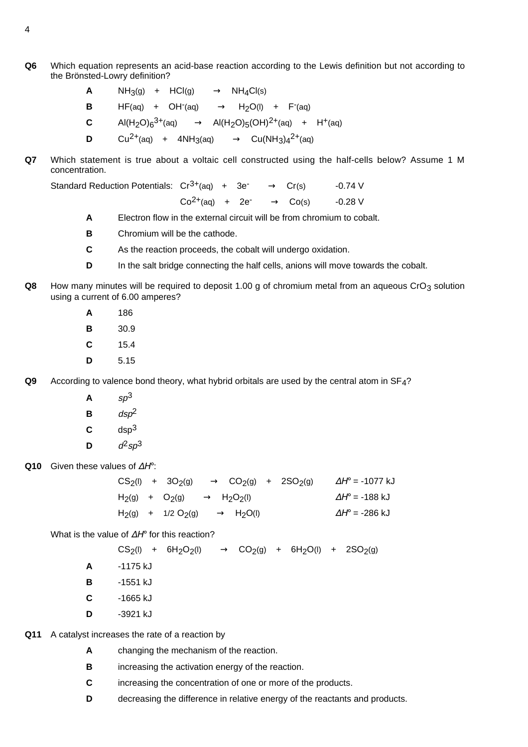- **Q6** Which equation represents an acid-base reaction according to the Lewis definition but not according to the Brönsted-Lowry definition?
	- **A**  $NH_3(q)$  +  $HCl(q)$   $\longrightarrow$   $NH_4Cl(s)$
	- **B**  $HF(aq) + OH^{-}(aq) \longrightarrow H_{2}O(1) + F^{-}(aq)$
	- **C** Al(H<sub>2</sub>O)<sub>6</sub><sup>3+</sup>(aq)  $\longrightarrow$  Al(H<sub>2</sub>O)<sub>5</sub>(OH)<sup>2+</sup>(aq) + H<sup>+</sup>(aq)
	- **D**  $Cu^{2+}(aq) + 4NH_3(aq) \longrightarrow Cu(NH_3)a^{2+}(aq)$
- **Q7** Which statement is true about a voltaic cell constructed using the half-cells below? Assume 1 M concentration.

Standard Reduction Potentials:  $Cr^{3+}(aq)$  +  $3e^{-}$   $\longrightarrow$   $Cr(s)$  -0.74 V

$$
Co^{2+}(aq) + 2e^- \longrightarrow Co(s) \qquad -0.28 \text{ V}
$$

- **A** Electron flow in the external circuit will be from chromium to cobalt.
- **B** Chromium will be the cathode.
- **C** As the reaction proceeds, the cobalt will undergo oxidation.
- **D** In the salt bridge connecting the half cells, anions will move towards the cobalt.
- **Q8** How many minutes will be required to deposit 1.00 g of chromium metal from an aqueous CrO<sub>3</sub> solution using a current of 6.00 amperes?
	- **A** 186
	- **B** 30.9
	- **C** 15.4
	- **D** 5.15

**Q9** According to valence bond theory, what hybrid orbitals are used by the central atom in SF4?

- $A$   $s p<sup>3</sup>$
- $B$  dsp<sup>2</sup>
- **C** dsp3
- **D**  $d^2so^3$

**Q10** Given these values of ∆Η°:

 $CS_2(1)$  + 3O<sub>2</sub>(g) → CO<sub>2</sub>(g) + 2SO<sub>2</sub>(g)  $\Delta H^{\circ}$  = -1077 kJ  $H_2(g)$  + O<sub>2</sub>(g) → H<sub>2</sub>O<sub>2</sub>(l)  $\Delta H^{\circ}$  = -188 kJ  $H_2(g)$  + 1/2 O<sub>2</sub>(g) → H<sub>2</sub>O(l)  $\Delta H^{\circ}$  = -286 kJ

What is the value of  $\Delta H^{\circ}$  for this reaction?

 $CS_2(1)$  +  $6H_2O_2(1)$   $\longrightarrow$   $CO_2(q)$  +  $6H_2O(1)$  +  $2SO_2(q)$ 

- **A** -1175 kJ
- **B** -1551 kJ
- **C** -1665 kJ
- **D** -3921 kJ

**Q11** A catalyst increases the rate of a reaction by

- **A** changing the mechanism of the reaction.
- **B** increasing the activation energy of the reaction.
- **C** increasing the concentration of one or more of the products.
- **D** decreasing the difference in relative energy of the reactants and products.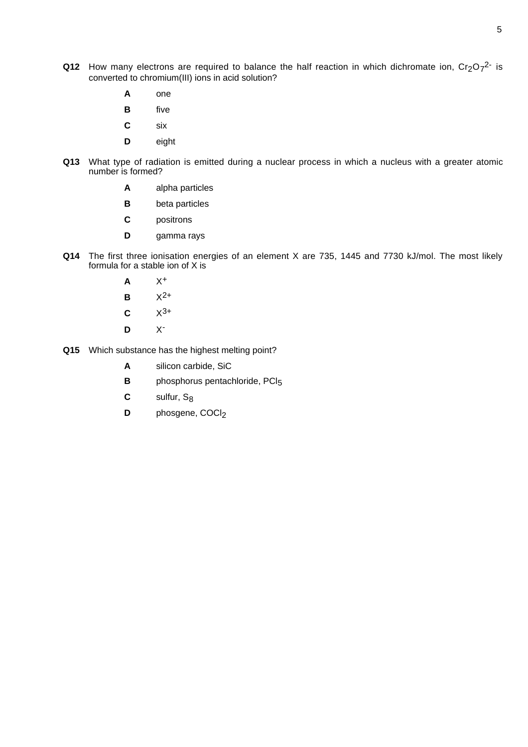- **Q12** How many electrons are required to balance the half reaction in which dichromate ion,  $Cr_2O_7^{2-}$  is converted to chromium(III) ions in acid solution?
	- **A** one
	- **B** five
	- **C** six
	- **D** eight
- **Q13** What type of radiation is emitted during a nuclear process in which a nucleus with a greater atomic number is formed?
	- **A** alpha particles
	- **B** beta particles
	- **C** positrons
	- **D** gamma rays
- **Q14** The first three ionisation energies of an element X are 735, 1445 and 7730 kJ/mol. The most likely formula for a stable ion of X is
	- **A** X+
	- **B**  $X^{2+}$
	- **C**  $X^{3+}$
	- **D** X-
- **Q15** Which substance has the highest melting point?
	- **A** silicon carbide, SiC
	- **B** phosphorus pentachloride, PCI<sub>5</sub>
	- **C** sulfur, S<sub>8</sub>
	- **D** phosgene, COCl<sub>2</sub>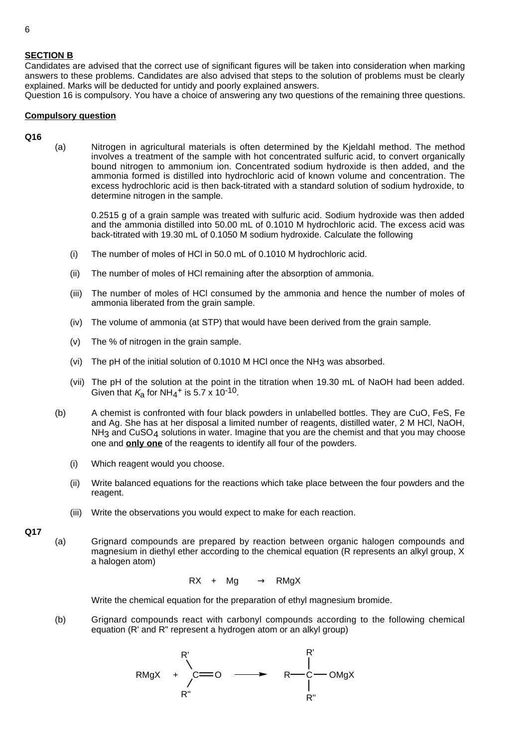### **SECTION B**

Candidates are advised that the correct use of significant figures will be taken into consideration when marking answers to these problems. Candidates are also advised that steps to the solution of problems must be clearly explained. Marks will be deducted for untidy and poorly explained answers.

Question 16 is compulsory. You have a choice of answering any two questions of the remaining three questions.

### **Compulsory question**

#### **Q16**

(a) Nitrogen in agricultural materials is often determined by the Kjeldahl method. The method involves a treatment of the sample with hot concentrated sulfuric acid, to convert organically bound nitrogen to ammonium ion. Concentrated sodium hydroxide is then added, and the ammonia formed is distilled into hydrochloric acid of known volume and concentration. The excess hydrochloric acid is then back-titrated with a standard solution of sodium hydroxide, to determine nitrogen in the sample.

0.2515 g of a grain sample was treated with sulfuric acid. Sodium hydroxide was then added and the ammonia distilled into 50.00 mL of 0.1010 M hydrochloric acid. The excess acid was back-titrated with 19.30 mL of 0.1050 M sodium hydroxide. Calculate the following

- (i) The number of moles of HCl in 50.0 mL of 0.1010 M hydrochloric acid.
- (ii) The number of moles of HCl remaining after the absorption of ammonia.
- (iii) The number of moles of HCl consumed by the ammonia and hence the number of moles of ammonia liberated from the grain sample.
- (iv) The volume of ammonia (at STP) that would have been derived from the grain sample.
- (v) The % of nitrogen in the grain sample.
- (vi) The pH of the initial solution of 0.1010 M HCl once the  $NH_3$  was absorbed.
- (vii) The pH of the solution at the point in the titration when 19.30 mL of NaOH had been added. Given that  $K_2$  for NH<sub>4</sub><sup>+</sup> is 5.7 x 10<sup>-10</sup>.
- (b) A chemist is confronted with four black powders in unlabelled bottles. They are CuO, FeS, Fe and Ag. She has at her disposal a limited number of reagents, distilled water, 2 M HCl, NaOH,  $NH<sub>3</sub>$  and CuSO<sub>4</sub> solutions in water. Imagine that you are the chemist and that you may choose one and **only one** of the reagents to identify all four of the powders.
	- (i) Which reagent would you choose.
	- (ii) Write balanced equations for the reactions which take place between the four powders and the reagent.
	- (iii) Write the observations you would expect to make for each reaction.

**Q17**

(a) Grignard compounds are prepared by reaction between organic halogen compounds and magnesium in diethyl ether according to the chemical equation (R represents an alkyl group, X a halogen atom)

$$
RX + Mg \longrightarrow RMgX
$$

Write the chemical equation for the preparation of ethyl magnesium bromide.

(b) Grignard compounds react with carbonyl compounds according to the following chemical equation (R' and R" represent a hydrogen atom or an alkyl group)

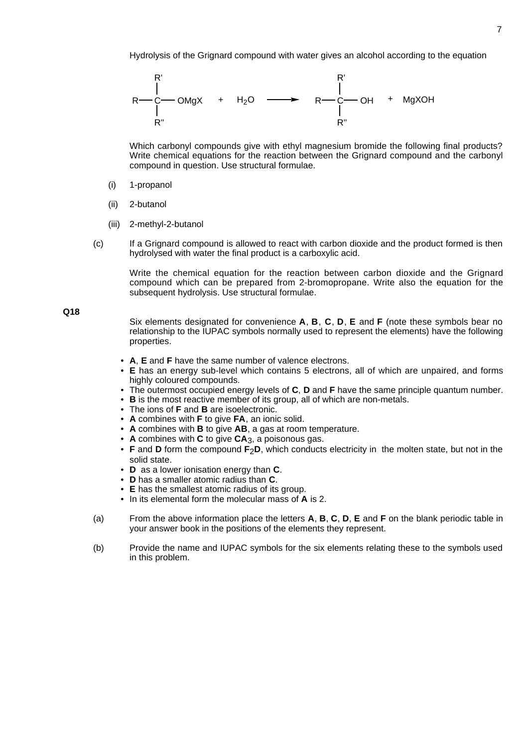

Which carbonyl compounds give with ethyl magnesium bromide the following final products? Write chemical equations for the reaction between the Grignard compound and the carbonyl compound in question. Use structural formulae.

- (i) 1-propanol
- (ii) 2-butanol
- (iii) 2-methyl-2-butanol
- (c) If a Grignard compound is allowed to react with carbon dioxide and the product formed is then hydrolysed with water the final product is a carboxylic acid.

Write the chemical equation for the reaction between carbon dioxide and the Grignard compound which can be prepared from 2-bromopropane. Write also the equation for the subsequent hydrolysis. Use structural formulae.

**Q18**

Six elements designated for convenience **A**, **B**, **C**, **D**, **E** and **F** (note these symbols bear no relationship to the IUPAC symbols normally used to represent the elements) have the following properties.

- **A**, **E** and **F** have the same number of valence electrons.
- **E** has an energy sub-level which contains 5 electrons, all of which are unpaired, and forms highly coloured compounds.
- The outermost occupied energy levels of **C**, **D** and **F** have the same principle quantum number.
- **B** is the most reactive member of its group, all of which are non-metals.
- The ions of **F** and **B** are isoelectronic.
- **A** combines with **F** to give **FA**, an ionic solid.
- **A** combines with **B** to give **AB**, a gas at room temperature.
- **A** combines with **C** to give **CA**3, a poisonous gas.
- **F** and **D** form the compound **F**<sub>2</sub>**D**, which conducts electricity in the molten state, but not in the solid state.
- **D** as a lower ionisation energy than **C**.
- **D** has a smaller atomic radius than **C**.
- **E** has the smallest atomic radius of its group.
- In its elemental form the molecular mass of **A** is 2.
- (a) From the above information place the letters **A**, **B**, **C**, **D**, **E** and **F** on the blank periodic table in your answer book in the positions of the elements they represent.
- (b) Provide the name and IUPAC symbols for the six elements relating these to the symbols used in this problem.